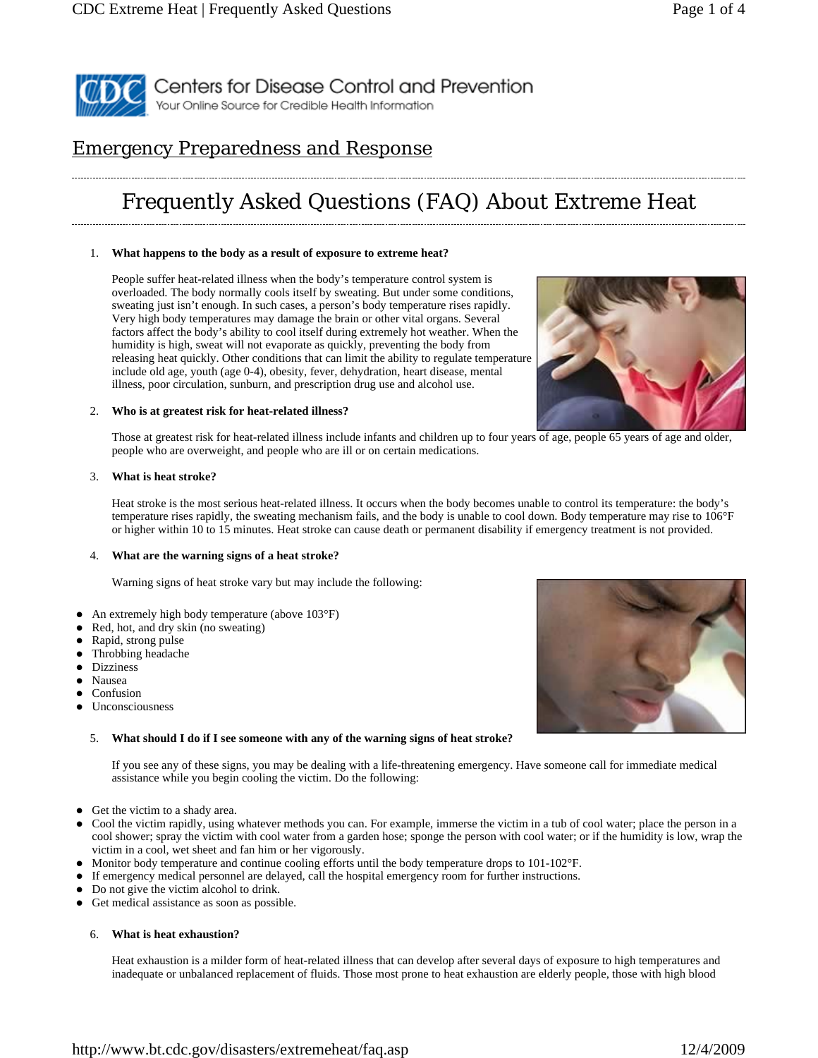

# Emergency Preparedness and Response

# Frequently Asked Questions (FAQ) About Extreme Heat

#### 1. **What happens to the body as a result of exposure to extreme heat?**

People suffer heat-related illness when the body's temperature control system is overloaded. The body normally cools itself by sweating. But under some conditions, sweating just isn't enough. In such cases, a person's body temperature rises rapidly. Very high body temperatures may damage the brain or other vital organs. Several factors affect the body's ability to cool itself during extremely hot weather. When the humidity is high, sweat will not evaporate as quickly, preventing the body from releasing heat quickly. Other conditions that can limit the ability to regulate temperature include old age, youth (age 0-4), obesity, fever, dehydration, heart disease, mental illness, poor circulation, sunburn, and prescription drug use and alcohol use.



#### 2. **Who is at greatest risk for heat-related illness?**

Those at greatest risk for heat-related illness include infants and children up to four years of age, people 65 years of age and older, people who are overweight, and people who are ill or on certain medications.

#### 3. **What is heat stroke?**

Heat stroke is the most serious heat-related illness. It occurs when the body becomes unable to control its temperature: the body's temperature rises rapidly, the sweating mechanism fails, and the body is unable to cool down. Body temperature may rise to 106°F or higher within 10 to 15 minutes. Heat stroke can cause death or permanent disability if emergency treatment is not provided.

#### 4. **What are the warning signs of a heat stroke?**

Warning signs of heat stroke vary but may include the following:

- An extremely high body temperature (above 103°F)
- Red, hot, and dry skin (no sweating)
- Rapid, strong pulse
- Throbbing headache
- Dizziness
- Nausea
- Confusion
- Unconsciousness

# 5. **What should I do if I see someone with any of the warning signs of heat stroke?**

If you see any of these signs, you may be dealing with a life-threatening emergency. Have someone call for immediate medical assistance while you begin cooling the victim. Do the following:

- Get the victim to a shady area.
- Cool the victim rapidly, using whatever methods you can. For example, immerse the victim in a tub of cool water; place the person in a cool shower; spray the victim with cool water from a garden hose; sponge the person with cool water; or if the humidity is low, wrap the victim in a cool, wet sheet and fan him or her vigorously.
- Monitor body temperature and continue cooling efforts until the body temperature drops to 101-102°F.
- If emergency medical personnel are delayed, call the hospital emergency room for further instructions.
- Do not give the victim alcohol to drink.
- Get medical assistance as soon as possible.

#### 6. **What is heat exhaustion?**

Heat exhaustion is a milder form of heat-related illness that can develop after several days of exposure to high temperatures and inadequate or unbalanced replacement of fluids. Those most prone to heat exhaustion are elderly people, those with high blood

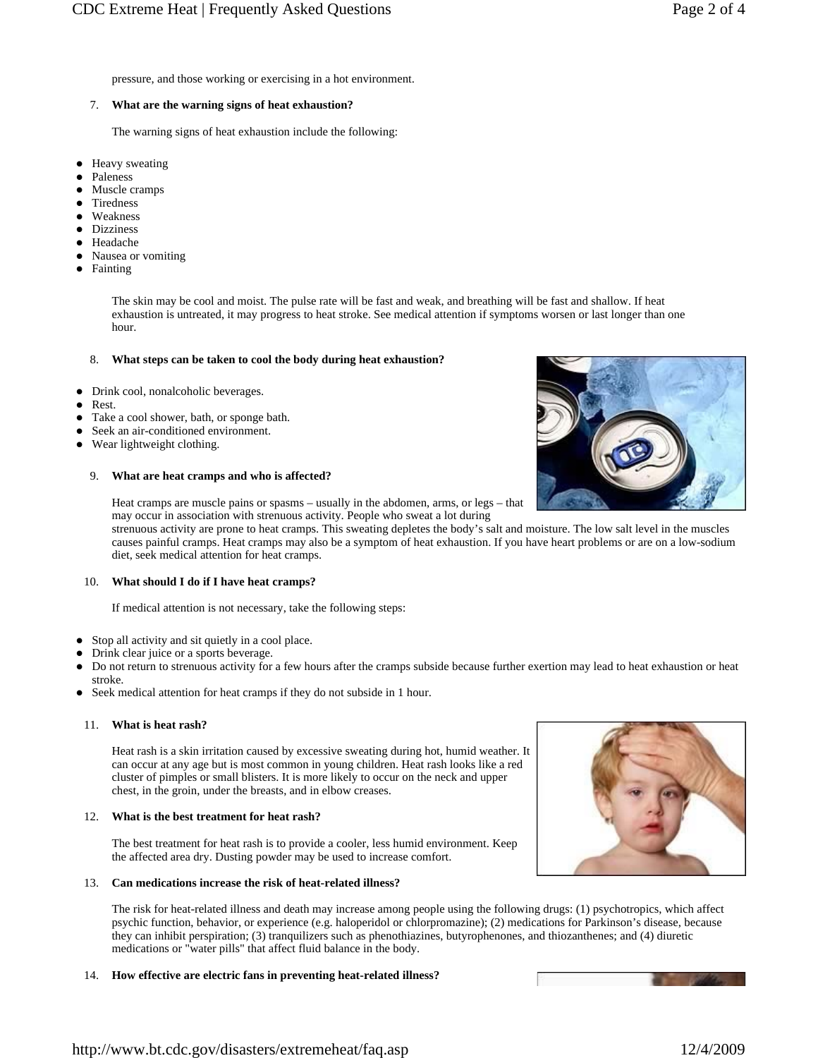pressure, and those working or exercising in a hot environment.

# 7. **What are the warning signs of heat exhaustion?**

The warning signs of heat exhaustion include the following:

- Heavy sweating
- Paleness
- Muscle cramps
- Tiredness
- Weakness
- Dizziness
- Headache
- Nausea or vomiting
- Fainting

The skin may be cool and moist. The pulse rate will be fast and weak, and breathing will be fast and shallow. If heat exhaustion is untreated, it may progress to heat stroke. See medical attention if symptoms worsen or last longer than one hour.

# 8. **What steps can be taken to cool the body during heat exhaustion?**

- Drink cool, nonalcoholic beverages.
- Rest.
- Take a cool shower, bath, or sponge bath.
- Seek an air-conditioned environment.
- Wear lightweight clothing.

# 9. **What are heat cramps and who is affected?**

Heat cramps are muscle pains or spasms – usually in the abdomen, arms, or legs – that may occur in association with strenuous activity. People who sweat a lot during

strenuous activity are prone to heat cramps. This sweating depletes the body's salt and moisture. The low salt level in the muscles causes painful cramps. Heat cramps may also be a symptom of heat exhaustion. If you have heart problems or are on a low-sodium diet, seek medical attention for heat cramps.

# 10. **What should I do if I have heat cramps?**

If medical attention is not necessary, take the following steps:

- Stop all activity and sit quietly in a cool place.
- Drink clear juice or a sports beverage.
- Do not return to strenuous activity for a few hours after the cramps subside because further exertion may lead to heat exhaustion or heat stroke.
- Seek medical attention for heat cramps if they do not subside in 1 hour.

# 11. **What is heat rash?**

Heat rash is a skin irritation caused by excessive sweating during hot, humid weather. It can occur at any age but is most common in young children. Heat rash looks like a red cluster of pimples or small blisters. It is more likely to occur on the neck and upper chest, in the groin, under the breasts, and in elbow creases.

# 12. **What is the best treatment for heat rash?**

The best treatment for heat rash is to provide a cooler, less humid environment. Keep the affected area dry. Dusting powder may be used to increase comfort.

# 13. **Can medications increase the risk of heat-related illness?**

The risk for heat-related illness and death may increase among people using the following drugs: (1) psychotropics, which affect psychic function, behavior, or experience (e.g. haloperidol or chlorpromazine); (2) medications for Parkinson's disease, because they can inhibit perspiration; (3) tranquilizers such as phenothiazines, butyrophenones, and thiozanthenes; and (4) diuretic medications or "water pills" that affect fluid balance in the body.

# 14. **How effective are electric fans in preventing heat-related illness?**